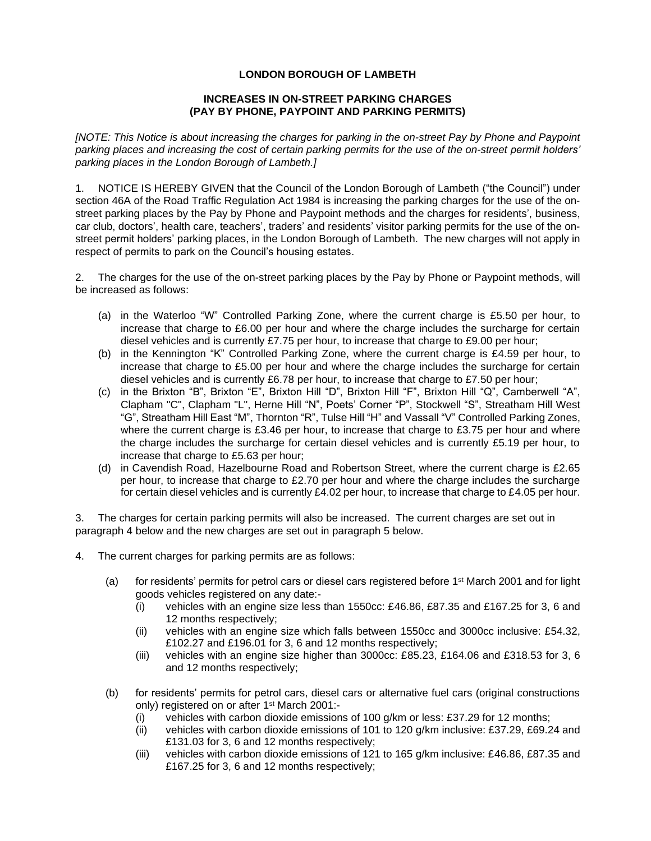## **LONDON BOROUGH OF LAMBETH**

## **INCREASES IN ON-STREET PARKING CHARGES (PAY BY PHONE, PAYPOINT AND PARKING PERMITS)**

 *[NOTE: This Notice is about increasing the charges for parking in the on-street Pay by Phone and Paypoint parking places and increasing the cost of certain parking permits for the use of the on-street permit holders' parking places in the London Borough of Lambeth.]* 

 1. NOTICE IS HEREBY GIVEN that the Council of the London Borough of Lambeth ("the Council") under street parking places by the Pay by Phone and Paypoint methods and the charges for residents', business, street permit holders' parking places, in the London Borough of Lambeth. The new charges will not apply in section 46A of the Road Traffic Regulation Act 1984 is increasing the parking charges for the use of the oncar club, doctors', health care, teachers', traders' and residents' visitor parking permits for the use of the onrespect of permits to park on the Council's housing estates.

 2. The charges for the use of the on-street parking places by the Pay by Phone or Paypoint methods, will be increased as follows:

- (a) in the Waterloo "W" Controlled Parking Zone, where the current charge is £5.50 per hour, to increase that charge to £6.00 per hour and where the charge includes the surcharge for certain diesel vehicles and is currently £7.75 per hour, to increase that charge to £9.00 per hour;
- (b) in the Kennington "K" Controlled Parking Zone, where the current charge is £4.59 per hour, to increase that charge to £5.00 per hour and where the charge includes the surcharge for certain diesel vehicles and is currently £6.78 per hour, to increase that charge to £7.50 per hour;
- (c) in the Brixton "B", Brixton "E", Brixton Hill "D", Brixton Hill "F", Brixton Hill "Q", Camberwell "A", Clapham "C", Clapham "L", Herne Hill "N", Poets' Corner "P", Stockwell "S", Streatham Hill West "G", Streatham Hill East "M", Thornton "R", Tulse Hill "H" and Vassall "V" Controlled Parking Zones, the charge includes the surcharge for certain diesel vehicles and is currently £5.19 per hour, to where the current charge is £3.46 per hour, to increase that charge to £3.75 per hour and where increase that charge to £5.63 per hour;
- (d) in Cavendish Road, Hazelbourne Road and Robertson Street, where the current charge is £2.65 per hour, to increase that charge to £2.70 per hour and where the charge includes the surcharge for certain diesel vehicles and is currently £4.02 per hour, to increase that charge to £4.05 per hour.

 3. The charges for certain parking permits will also be increased. The current charges are set out in paragraph 4 below and the new charges are set out in paragraph 5 below.

- 4. The current charges for parking permits are as follows:
	- (a) for residents' permits for petrol cars or diesel cars registered before  $1<sup>st</sup>$  March 2001 and for light goods vehicles registered on any date:-
		- (i) vehicles with an engine size less than 1550cc: £46.86, £87.35 and £167.25 for 3, 6 and 12 months respectively;
		- (ii) vehicles with an engine size which falls between 1550cc and 3000cc inclusive: £54.32, £102.27 and £196.01 for 3, 6 and 12 months respectively;
		- (iii) vehicles with an engine size higher than 3000cc: £85.23, £164.06 and £318.53 for 3, 6 and 12 months respectively;
	- (b) for residents' permits for petrol cars, diesel cars or alternative fuel cars (original constructions only) registered on or after 1st March 2001:-
		- (i) vehicles with carbon dioxide emissions of 100 g/km or less: £37.29 for 12 months;
		- (ii) vehicles with carbon dioxide emissions of 101 to 120 g/km inclusive: £37.29, £69.24 and £131.03 for 3, 6 and 12 months respectively;
		- (iii) vehicles with carbon dioxide emissions of 121 to 165 g/km inclusive: £46.86, £87.35 and £167.25 for 3, 6 and 12 months respectively;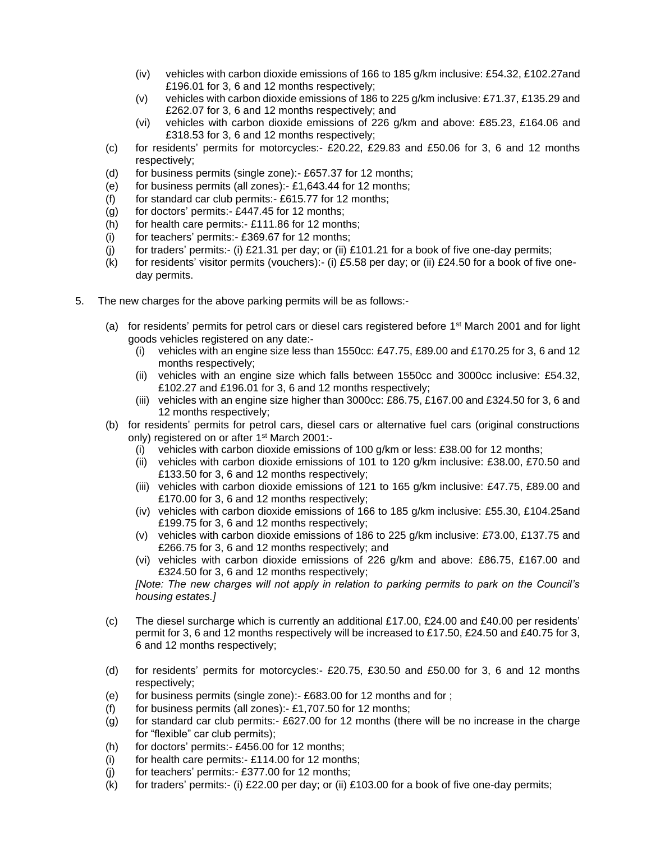- (iv) vehicles with carbon dioxide emissions of 166 to 185 g/km inclusive: £54.32, £102.27and £196.01 for 3, 6 and 12 months respectively;
- (v) vehicles with carbon dioxide emissions of 186 to 225 g/km inclusive: £71.37, £135.29 and £262.07 for 3, 6 and 12 months respectively; and
- (vi) vehicles with carbon dioxide emissions of 226 g/km and above: £85.23, £164.06 and £318.53 for 3, 6 and 12 months respectively;
- (c) for residents' permits for [motorcycles:-](https://motorcycles:-�20.22) £20.22, £29.83 and £50.06 for 3, 6 and 12 months respectively;
- (d) for business permits (single zone):- [£657.37](https://zone):-�657.37) for 12 months;
- (e) for business permits (all zones):- [£1,643.44](https://zones):-�1,643.44) for 12 months;
- (f) for standard car club [permits:-](https://permits:-�615.77)  $£615.77$  for 12 months;
- (g) for doctors' [permits:-](https://permits:-�447.45) £447.45 for 12 months;
- $(h)$  for health care [permits:-](https://permits:-�111.86) £111.86 for 12 months:
- (i) for teachers' [permits:-](https://permits:-�369.67) £369.67 for 12 months;
- (j) for traders' permits:- (i) £21.31 per day; or (ii) £101.21 for a book of five one-day permits;
- (k) for residents' visitor permits (vouchers):- (i) £5.58 per day; or (ii) £24.50 for a book of five oneday permits.
- 5. The new charges for the above parking permits will be as follows:-
	- (a) for residents' permits for petrol cars or diesel cars registered before  $1<sup>st</sup>$  March 2001 and for light goods vehicles registered on any date:-
		- (i) vehicles with an engine size less than 1550cc: £47.75, £89.00 and £170.25 for 3, 6 and 12 months respectively;
		- (ii) vehicles with an engine size which falls between 1550cc and 3000cc inclusive: £54.32, £102.27 and £196.01 for 3, 6 and 12 months respectively;
		- (iii) vehicles with an engine size higher than 3000cc: £86.75, £167.00 and £324.50 for 3, 6 and 12 months respectively;
	- (b) for residents' permits for petrol cars, diesel cars or alternative fuel cars (original constructions only) registered on or after 1<sup>st</sup> March 2001:-
		- (i) vehicles with carbon dioxide emissions of 100 g/km or less: £38.00 for 12 months;
		- (ii) vehicles with carbon dioxide emissions of 101 to 120 g/km inclusive: £38.00, £70.50 and £133.50 for 3, 6 and 12 months respectively;
		- (iii) vehicles with carbon dioxide emissions of 121 to 165 g/km inclusive: £47.75, £89.00 and £170.00 for 3, 6 and 12 months respectively;
		- (iv) vehicles with carbon dioxide emissions of 166 to 185 g/km inclusive: £55.30, £104.25and £199.75 for 3, 6 and 12 months respectively;
		- (v) vehicles with carbon dioxide emissions of 186 to 225 g/km inclusive: £73.00, £137.75 and £266.75 for 3, 6 and 12 months respectively; and
		- (vi) vehicles with carbon dioxide emissions of 226 g/km and above: £86.75, £167.00 and £324.50 for 3, 6 and 12 months respectively;

 *[Note: The new charges will not apply in relation to parking permits to park on the Council's housing estates.]* 

- permit for 3, 6 and 12 months respectively will be increased to £17.50, £24.50 and £40.75 for 3, (c) The diesel surcharge which is currently an additional £17.00, £24.00 and £40.00 per residents' 6 and 12 months respectively;
- (d) for residents' permits for [motorcycles:-](https://motorcycles:-�20.75) £20.75, £30.50 and £50.00 for 3, 6 and 12 months respectively;
- (e) for business permits (single zone):- [£683.00](https://zone):-�683.00) for 12 months and for ;
- (f) for business permits (all zones):- [£1,707.50](https://zones):-�1,707.50) for 12 months;
- (g) for standard car club [permits:-](https://permits:-�627.00) £627.00 for 12 months (there will be no increase in the charge for "flexible" car club permits);
- (h) for doctors' [permits:-](https://permits:-�456.00) £456.00 for 12 months;
- $(i)$  for health care [permits:-](https://permits:-�114.00) £114.00 for 12 months;
- (j) for teachers' [permits:-](https://permits:-�377.00) £377.00 for 12 months;
- (k) for traders' permits:- (i)  $£22.00$  per day; or (ii)  $£103.00$  for a book of five one-day permits;